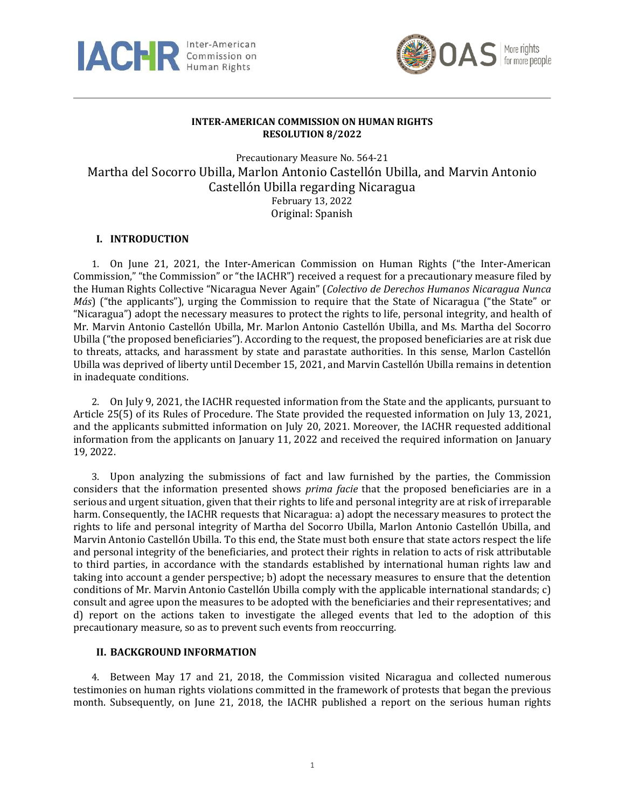



## **INTER-AMERICAN COMMISSION ON HUMAN RIGHTS RESOLUTION 8/2022**

Precautionary Measure No. 564-21 Martha del Socorro Ubilla, Marlon Antonio Castellón Ubilla, and Marvin Antonio Castellón Ubilla regarding Nicaragua February 13, 2022 Original: Spanish

# **I. INTRODUCTION**

1. On June 21, 2021, the Inter-American Commission on Human Rights ("the Inter-American Commission," "the Commission" or "the IACHR") received a request for a precautionary measure filed by the Human Rights Collective "Nicaragua Never Again" (*Colectivo de Derechos Humanos Nicaragua Nunca Más*) ("the applicants"), urging the Commission to require that the State of Nicaragua ("the State" or "Nicaragua") adopt the necessary measures to protect the rights to life, personal integrity, and health of Mr. Marvin Antonio Castellón Ubilla, Mr. Marlon Antonio Castellón Ubilla, and Ms. Martha del Socorro Ubilla ("the proposed beneficiaries"). According to the request, the proposed beneficiaries are at risk due to threats, attacks, and harassment by state and parastate authorities. In this sense, Marlon Castellón Ubilla was deprived of liberty until December 15, 2021, and Marvin Castellón Ubilla remains in detention in inadequate conditions.

2. On July 9, 2021, the IACHR requested information from the State and the applicants, pursuant to Article 25(5) of its Rules of Procedure. The State provided the requested information on July 13, 2021, and the applicants submitted information on July 20, 2021. Moreover, the IACHR requested additional information from the applicants on January 11, 2022 and received the required information on January 19, 2022.

3. Upon analyzing the submissions of fact and law furnished by the parties, the Commission considers that the information presented shows *prima facie* that the proposed beneficiaries are in a serious and urgent situation, given that their rights to life and personal integrity are at risk of irreparable harm. Consequently, the IACHR requests that Nicaragua: a) adopt the necessary measures to protect the rights to life and personal integrity of Martha del Socorro Ubilla, Marlon Antonio Castellón Ubilla, and Marvin Antonio Castellón Ubilla. To this end, the State must both ensure that state actors respect the life and personal integrity of the beneficiaries, and protect their rights in relation to acts of risk attributable to third parties, in accordance with the standards established by international human rights law and taking into account a gender perspective; b) adopt the necessary measures to ensure that the detention conditions of Mr. Marvin Antonio Castellón Ubilla comply with the applicable international standards; c) consult and agree upon the measures to be adopted with the beneficiaries and their representatives; and d) report on the actions taken to investigate the alleged events that led to the adoption of this precautionary measure, so as to prevent such events from reoccurring.

### **II. BACKGROUND INFORMATION**

4. Between May 17 and 21, 2018, the Commission visited Nicaragua and collected numerous testimonies on human rights violations committed in the framework of protests that began the previous month. Subsequently, on June 21, 2018, the IACHR published a report on the serious human rights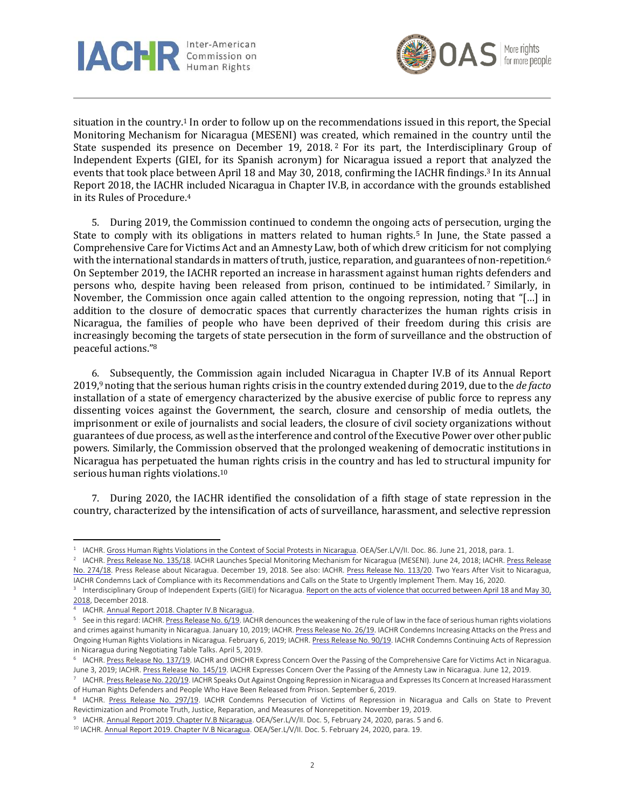



situation in the country.<sup>1</sup> In order to follow up on the recommendations issued in this report, the Special Monitoring Mechanism for Nicaragua (MESENI) was created, which remained in the country until the State suspended its presence on December 19, 2018.<sup>2</sup> For its part, the Interdisciplinary Group of Independent Experts (GIEI, for its Spanish acronym) for Nicaragua issued a report that analyzed the events that took place between April 18 and May 30, 2018, confirming the IACHR findings.<sup>3</sup> In its Annual Report 2018, the IACHR included Nicaragua in Chapter IV.B, in accordance with the grounds established in its Rules of Procedure.<sup>4</sup>

5. During 2019, the Commission continued to condemn the ongoing acts of persecution, urging the State to comply with its obligations in matters related to human rights.<sup>5</sup> In June, the State passed a Comprehensive Care for Victims Act and an Amnesty Law, both of which drew criticism for not complying with the international standards in matters of truth, justice, reparation, and guarantees of non-repetition.<sup>6</sup> On September 2019, the IACHR reported an increase in harassment against human rights defenders and persons who, despite having been released from prison, continued to be intimidated.<sup>7</sup> Similarly, in November, the Commission once again called attention to the ongoing repression, noting that "[…] in addition to the closure of democratic spaces that currently characterizes the human rights crisis in Nicaragua, the families of people who have been deprived of their freedom during this crisis are increasingly becoming the targets of state persecution in the form of surveillance and the obstruction of peaceful actions." 8

6. Subsequently, the Commission again included Nicaragua in Chapter IV.B of its Annual Report 2019,<sup>9</sup> noting that the serious human rights crisis in the country extended during 2019, due to the *de facto* installation of a state of emergency characterized by the abusive exercise of public force to repress any dissenting voices against the Government, the search, closure and censorship of media outlets, the imprisonment or exile of journalists and social leaders, the closure of civil society organizations without guarantees of due process, as well as the interference and control of the Executive Power over other public powers. Similarly, the Commission observed that the prolonged weakening of democratic institutions in Nicaragua has perpetuated the human rights crisis in the country and has led to structural impunity for serious human rights violations.<sup>10</sup>

7. During 2020, the IACHR identified the consolidation of a fifth stage of state repression in the country, characterized by the intensification of acts of surveillance, harassment, and selective repression

<sup>&</sup>lt;sup>1</sup> IACHR. Gross Human Rights Violations in the Context of Social Protests in [Nicaragua.](http://www.oas.org/es/cidh/informes/pdfs/Nicaragua2018-es.pdf) OEA/Ser.L/V/II. Doc. 86. June 21, 2018, para. 1.

<sup>&</sup>lt;sup>2</sup> IACHR. <u>Press [Release](http://www.oas.org/es/cidh/prensa/comunicados/2018/274.asp) No. 135/18</u>. IACHR Launches Special Monitoring Mechanism for Nicaragua (MESENI). June 24, 2018; IACHR. <u>Press Release</u> No. [274/18.](http://www.oas.org/es/cidh/prensa/comunicados/2018/274.asp) Press Release about Nicaragua. December 19, 2018. See also: IACHR. Press Release No. [113/20.](http://www.oas.org/es/cidh/prensa/comunicados/2020/113.asp) Two Years After Visit to Nicaragua, IACHR Condemns Lack of Compliance with its Recommendations and Calls on the State to Urgently Implement Them. May 16, 2020.

<sup>&</sup>lt;sup>3</sup> Interdisciplinary Group of Independent Experts (GIEI) for Nicaragua. <u>Report on the acts of violence that [occurred](http://gieinicaragua.org/giei-content/uploads/2018/12/GIEI_INFORME_DIGITAL.pdf) between April 18 and May 30,</u> [2018,](http://gieinicaragua.org/giei-content/uploads/2018/12/GIEI_INFORME_DIGITAL.pdf) December 2018.

<sup>4</sup> IACHR. Annual Report 2018. Chapter IV.B [Nicaragua.](http://www.oas.org/es/cidh/docs/anual/2018/docs/IA2018cap.4B.NI-es.pdf)

<sup>&</sup>lt;sup>5</sup> See in this regard: IACHR. Press [Release](http://www.oas.org/es/cidh/prensa/comunicados/2019/006.asp) No. 6/19. IACHR denounces the weakening of the rule of law in the face of serious human rights violations and crimes against humanity in Nicaragua. January 10, 2019; IACHR. Press [Release](http://www.oas.org/es/cidh/prensa/comunicados/2019/026.asp) No. 26/19. IACHR Condemns Increasing Attacks on the Press and Ongoing Human Rights Violations in Nicaragua. February 6, 2019; IACHR. Press [Release](http://www.oas.org/es/cidh/prensa/comunicados/2019/090.asp) No. 90/19. IACHR Condemns Continuing Acts of Repression in Nicaragua during Negotiating Table Talks. April 5, 2019.

 $^6$  IACHR. <u>Press Release No. 137/19</u>. IACHR and OHCHR Express Concern Over the Passing of the Comprehensive Care for Victims Act in Nicaragua. June 3, 2019; IACHR. Press Release No. [145/19.](http://www.oas.org/es/cidh/prensa/comunicados/2019/145.asp) IACHR Expresses Concern Over the Passing of the Amnesty Law in Nicaragua. June 12, 2019.

<sup>7</sup> IACHR. <u>Press Release No. 220/19</u>. IACHR Speaks Out Against Ongoing Repression in Nicaragua and Expresses Its Concern at Increased Harassment of Human Rights Defenders and People Who Have Been Released from Prison. September 6, 2019.

<sup>&</sup>lt;sup>8</sup> IACHR. Press Release No. [297/19.](http://www.oas.org/es/cidh/prensa/comunicados/2019/297.asp) IACHR Condemns Persecution of Victims of Repression in Nicaragua and Calls on State to Prevent Revictimization and Promote Truth, Justice, Reparation, and Measures of Nonrepetition. November 19, 2019.

<sup>&</sup>lt;sup>9</sup> IACHR. <u>Annual Report 2019. Chapter IV.B Nicaragua</u>. OEA/Ser.L/V/II. Doc. 5, February 24, 2020, paras. 5 and 6.

<sup>&</sup>lt;sup>10</sup> IACHR. Annual Report 2019. Chapter IV.B [Nicaragua.](http://www.oas.org/es/cidh/docs/anual/2019/docs/IA2019cap4BNI-es.pdf) OEA/Ser.L/V/II. Doc. 5. February 24, 2020, para. 19.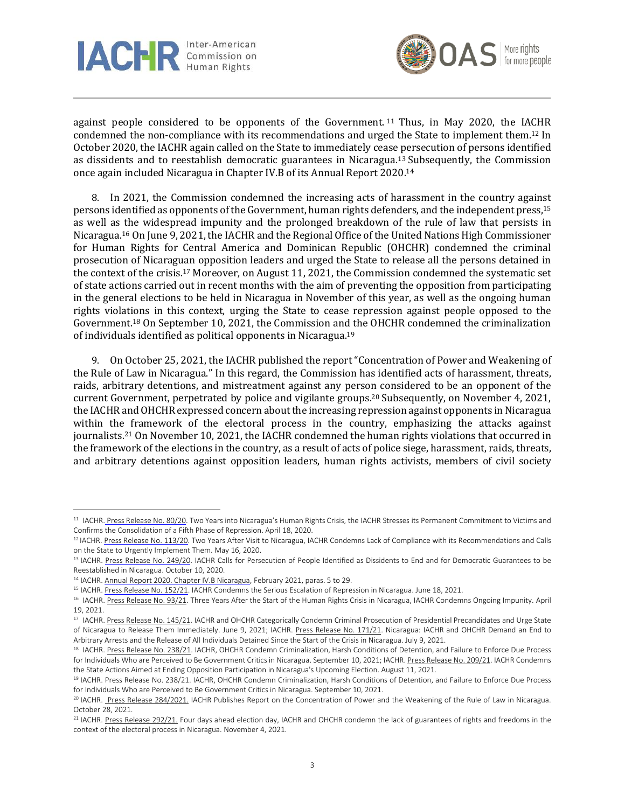



against people considered to be opponents of the Government. <sup>11</sup> Thus, in May 2020, the IACHR condemned the non-compliance with its recommendations and urged the State to implement them.<sup>12</sup> In October 2020, the IACHR again called on the State to immediately cease persecution of persons identified as dissidents and to reestablish democratic guarantees in Nicaragua.<sup>13</sup> Subsequently, the Commission once again included Nicaragua in Chapter IV.B of its Annual Report 2020.<sup>14</sup>

8. In 2021, the Commission condemned the increasing acts of harassment in the country against persons identified as opponents ofthe Government, human rights defenders, and the independent press, 15 as well as the widespread impunity and the prolonged breakdown of the rule of law that persists in Nicaragua. <sup>16</sup> On June 9, 2021, the IACHR and the Regional Office of the United Nations High Commissioner for Human Rights for Central America and Dominican Republic (OHCHR) condemned the criminal prosecution of Nicaraguan opposition leaders and urged the State to release all the persons detained in the context of the crisis.<sup>17</sup> Moreover, on August 11, 2021, the Commission condemned the systematic set of state actions carried out in recent months with the aim of preventing the opposition from participating in the general elections to be held in Nicaragua in November of this year, as well as the ongoing human rights violations in this context, urging the State to cease repression against people opposed to the Government.<sup>18</sup> On September 10, 2021, the Commission and the OHCHR condemned the criminalization of individuals identified as political opponents in Nicaragua.<sup>19</sup>

9. On October 25, 2021, the IACHR published the report "Concentration of Power and Weakening of the Rule of Law in Nicaragua." In this regard, the Commission has identified acts of harassment, threats, raids, arbitrary detentions, and mistreatment against any person considered to be an opponent of the current Government, perpetrated by police and vigilante groups. <sup>20</sup> Subsequently, on November 4, 2021, the IACHR and OHCHR expressed concern about the increasing repression against opponents in Nicaragua within the framework of the electoral process in the country, emphasizing the attacks against journalists. <sup>21</sup> On November 10, 2021, the IACHR condemned the human rights violations that occurred in the framework of the elections in the country, as a result of acts of police siege, harassment, raids, threats, and arbitrary detentions against opposition leaders, human rights activists, members of civil society

<sup>&</sup>lt;sup>11</sup> IACHR. Press [Release](http://www.oas.org/es/cidh/prensa/comunicados/2020/080.asp) No. 80/20. Two Years into Nicaragua's Human Rights Crisis, the IACHR Stresses its Permanent Commitment to Victims and Confirms the Consolidation of a Fifth Phase of Repression. April 18, 2020.

<sup>&</sup>lt;sup>12</sup> IACHR. Press Release No. [113/20.](http://www.oas.org/es/cidh/prensa/comunicados/2020/113.asp) Two Years After Visit to Nicaragua, IACHR Condemns Lack of Compliance with its Recommendations and Calls on the State to Urgently Implement Them. May 16, 2020.

<sup>&</sup>lt;sup>13</sup> IACHR. Press Release No. [249/20.](http://www.oas.org/es/cidh/prensa/comunicados/2020/249.asp) IACHR Calls for Persecution of People Identified as Dissidents to End and for Democratic Guarantees to be Reestablished in Nicaragua. October 10, 2020.

<sup>&</sup>lt;sup>14</sup> IACHR. Annual Report 2020. Chapter IV.B [Nicaragua,](https://www.oas.org/es/cidh/docs/anual/2020/capitulos/IA2020cap.4b.NI-es.pdf) February 2021, paras. 5 to 29.

<sup>&</sup>lt;sup>15</sup> IACHR. Press Release No. [152/21.](http://www.oas.org/es/CIDH/jsForm/?File=/es/cidh/prensa/comunicados/2021/152.asp) IACHR Condemns the Serious Escalation of Repression in Nicaragua. June 18, 2021.

<sup>&</sup>lt;sup>16</sup> IACHR[. Press Release No. 93/21.](http://www.oas.org/es/CIDH/jsForm/?File=/es/cidh/prensa/comunicados/2021/093.asp) Three Years After the Start of the Human Rights Crisis in Nicaragua, IACHR Condemns Ongoing Impunity. April 19, 2021.

<sup>&</sup>lt;sup>17</sup> IACHR. Press Release No. [145/21.](http://www.oas.org/es/CIDH/jsForm/?File=/es/cidh/prensa/comunicados/2021/145.asp) IACHR and OHCHR Categorically Condemn Criminal Prosecution of Presidential Precandidates and Urge State of Nicaragua to Release Them Immediately. June 9, 2021; IACHR. Press Release No. [171/21.](http://www.oas.org/es/CIDH/jsForm/?File=/es/cidh/prensa/comunicados/2021/171.asp) Nicaragua: IACHR and OHCHR Demand an End to Arbitrary Arrests and the Release of All Individuals Detained Since the Start of the Crisis in Nicaragua. July 9, 2021.

<sup>&</sup>lt;sup>18</sup> IACHR. Press Release No. [238/21.](http://www.oas.org/es/CIDH/jsForm/?File=/es/cidh/prensa/comunicados/2021/238.asp) IACHR, OHCHR Condemn Criminalization, Harsh Conditions of Detention, and Failure to Enforce Due Process for Individuals Who are Perceived to Be Government Critics in Nicaragua. September 10, 2021; IACHR. Press Release No. [209/21.](http://www.oas.org/es/CIDH/jsForm/?File=/es/cidh/prensa/comunicados/2021/209.asp) IACHR Condemns the State Actions Aimed at Ending Opposition Participation in Nicaragua's Upcoming Election. August 11, 2021.

<sup>19</sup> IACHR. Press Release No. 238/21. IACHR, OHCHR Condemn Criminalization, Harsh Conditions of Detention, and Failure to Enforce Due Process for Individuals Who are Perceived to Be Government Critics in Nicaragua. September 10, 2021.

<sup>&</sup>lt;sup>20</sup> IACHR. Press Release [284/2021.](http://www.oas.org/es/CIDH/jsForm/?File=/es/cidh/prensa/comunicados/2021/284.asp) IACHR Publishes Report on the Concentration of Power and the Weakening of the Rule of Law in Nicaragua. October 28, 2021.

<sup>&</sup>lt;sup>21</sup> IACHR. Press Release [292/21.](http://www.oas.org/es/CIDH/jsForm/?File=/es/cidh/prensa/comunicados/2021/292.asp) Four days ahead election day, IACHR and OHCHR condemn the lack of guarantees of rights and freedoms in the context of the electoral process in Nicaragua. November 4, 2021.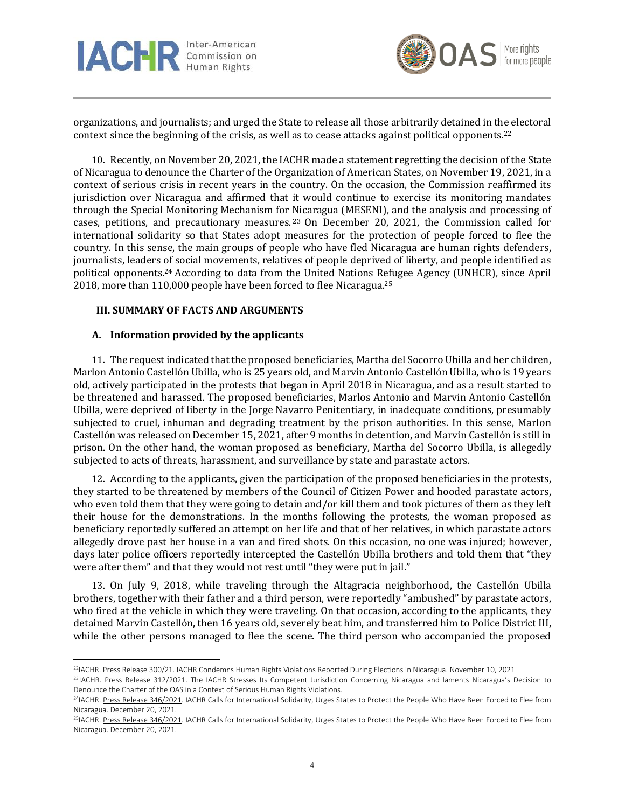



organizations, and journalists; and urged the State to release all those arbitrarily detained in the electoral context since the beginning of the crisis, as well as to cease attacks against political opponents. 22

10. Recently, on November 20, 2021, the IACHR made a statement regretting the decision of the State of Nicaragua to denounce the Charter of the Organization of American States, on November 19, 2021, in a context of serious crisis in recent years in the country. On the occasion, the Commission reaffirmed its jurisdiction over Nicaragua and affirmed that it would continue to exercise its monitoring mandates through the Special Monitoring Mechanism for Nicaragua (MESENI), and the analysis and processing of cases, petitions, and precautionary measures. <sup>23</sup> On December 20, 2021, the Commission called for international solidarity so that States adopt measures for the protection of people forced to flee the country. In this sense, the main groups of people who have fled Nicaragua are human rights defenders, journalists, leaders of social movements, relatives of people deprived of liberty, and people identified as political opponents. <sup>24</sup> According to data from the United Nations Refugee Agency (UNHCR), since April 2018, more than 110,000 people have been forced to flee Nicaragua. 25

#### **III. SUMMARY OF FACTS AND ARGUMENTS**

#### **A. Information provided by the applicants**

11. The request indicated that the proposed beneficiaries, Martha del Socorro Ubilla and her children, Marlon Antonio Castellón Ubilla, who is 25 years old, and Marvin Antonio Castellón Ubilla, who is 19 years old, actively participated in the protests that began in April 2018 in Nicaragua, and as a result started to be threatened and harassed. The proposed beneficiaries, Marlos Antonio and Marvin Antonio Castellón Ubilla, were deprived of liberty in the Jorge Navarro Penitentiary, in inadequate conditions, presumably subjected to cruel, inhuman and degrading treatment by the prison authorities. In this sense, Marlon Castellón was released on December 15, 2021, after 9 months in detention, and Marvin Castellón is still in prison. On the other hand, the woman proposed as beneficiary, Martha del Socorro Ubilla, is allegedly subjected to acts of threats, harassment, and surveillance by state and parastate actors.

12. According to the applicants, given the participation of the proposed beneficiaries in the protests, they started to be threatened by members of the Council of Citizen Power and hooded parastate actors, who even told them that they were going to detain and/or kill them and took pictures of them as they left their house for the demonstrations. In the months following the protests, the woman proposed as beneficiary reportedly suffered an attempt on her life and that of her relatives, in which parastate actors allegedly drove past her house in a van and fired shots. On this occasion, no one was injured; however, days later police officers reportedly intercepted the Castellón Ubilla brothers and told them that "they were after them" and that they would not rest until "they were put in jail."

13. On July 9, 2018, while traveling through the Altagracia neighborhood, the Castellón Ubilla brothers, together with their father and a third person, were reportedly "ambushed" by parastate actors, who fired at the vehicle in which they were traveling. On that occasion, according to the applicants, they detained Marvin Castellón, then 16 years old, severely beat him, and transferred him to Police District III, while the other persons managed to flee the scene. The third person who accompanied the proposed

<sup>&</sup>lt;sup>22</sup>IACHR. Press Release [300/21.](http://www.oas.org/es/CIDH/jsForm/?File=/es/cidh/prensa/comunicados/2021/300.asp) IACHR Condemns Human Rights Violations Reported During Elections in Nicaragua. November 10, 2021

<sup>&</sup>lt;sup>23</sup>IACHR. Press Release [312/2021.](https://www.oas.org/es/CIDH/jsForm/?File=/es/cidh/prensa/comunicados/2021/312.asp) The IACHR Stresses Its Competent Jurisdiction Concerning Nicaragua and laments Nicaragua's Decision to Denounce the Charter of the OAS in a Context of Serious Human Rights Violations.

<sup>&</sup>lt;sup>24</sup>IACHR. Press Release [346/2021.](https://www.oas.org/es/CIDH/jsForm/?File=/es/cidh/prensa/comunicados/2021/346.asp) IACHR Calls for International Solidarity, Urges States to Protect the People Who Have Been Forced to Flee from Nicaragua. December 20, 2021.

<sup>&</sup>lt;sup>25</sup>IACHR. Press Release [346/2021.](https://www.oas.org/es/CIDH/jsForm/?File=/es/cidh/prensa/comunicados/2021/346.asp) IACHR Calls for International Solidarity, Urges States to Protect the People Who Have Been Forced to Flee from Nicaragua. December 20, 2021.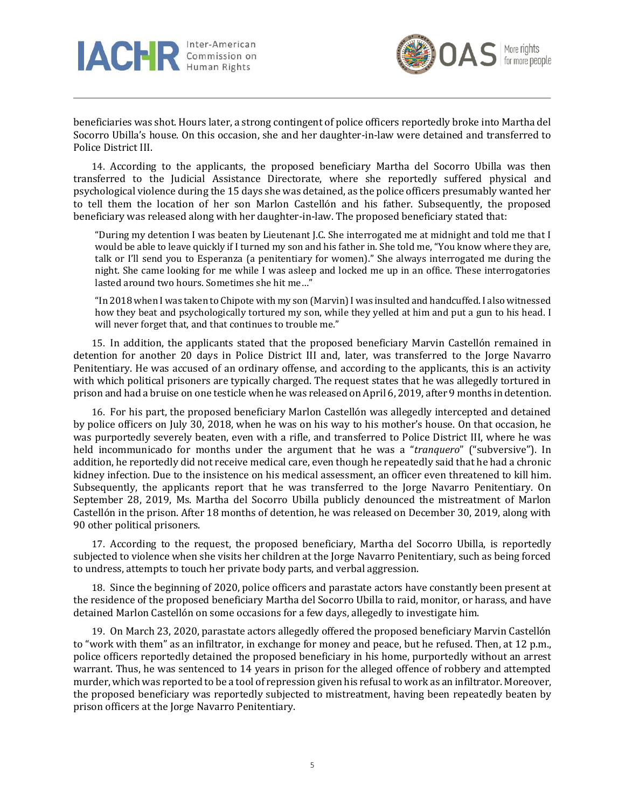



beneficiaries was shot. Hours later, a strong contingent of police officers reportedly broke into Martha del Socorro Ubilla's house. On this occasion, she and her daughter-in-law were detained and transferred to Police District III.

14. According to the applicants, the proposed beneficiary Martha del Socorro Ubilla was then transferred to the Judicial Assistance Directorate, where she reportedly suffered physical and psychological violence during the 15 days she was detained, as the police officers presumably wanted her to tell them the location of her son Marlon Castellón and his father. Subsequently, the proposed beneficiary was released along with her daughter-in-law. The proposed beneficiary stated that:

"During my detention I was beaten by Lieutenant J.C. She interrogated me at midnight and told me that I would be able to leave quickly if I turned my son and his father in. She told me, "You know where they are, talk or I'll send you to Esperanza (a penitentiary for women)." She always interrogated me during the night. She came looking for me while I was asleep and locked me up in an office. These interrogatories lasted around two hours. Sometimes she hit me…"

"In 2018 when I was taken to Chipote with my son (Marvin)I was insulted and handcuffed. I also witnessed how they beat and psychologically tortured my son, while they yelled at him and put a gun to his head. I will never forget that, and that continues to trouble me."

15. In addition, the applicants stated that the proposed beneficiary Marvin Castellón remained in detention for another 20 days in Police District III and, later, was transferred to the Jorge Navarro Penitentiary. He was accused of an ordinary offense, and according to the applicants, this is an activity with which political prisoners are typically charged. The request states that he was allegedly tortured in prison and had a bruise on one testicle when he was released on April 6, 2019, after 9 months in detention.

16. For his part, the proposed beneficiary Marlon Castellón was allegedly intercepted and detained by police officers on July 30, 2018, when he was on his way to his mother's house. On that occasion, he was purportedly severely beaten, even with a rifle, and transferred to Police District III, where he was held incommunicado for months under the argument that he was a "*tranquero*" ("subversive"). In addition, he reportedly did not receive medical care, even though he repeatedly said that he had a chronic kidney infection. Due to the insistence on his medical assessment, an officer even threatened to kill him. Subsequently, the applicants report that he was transferred to the Jorge Navarro Penitentiary. On September 28, 2019, Ms. Martha del Socorro Ubilla publicly denounced the mistreatment of Marlon Castellón in the prison. After 18 months of detention, he was released on December 30, 2019, along with 90 other political prisoners.

17. According to the request, the proposed beneficiary, Martha del Socorro Ubilla, is reportedly subjected to violence when she visits her children at the Jorge Navarro Penitentiary, such as being forced to undress, attempts to touch her private body parts, and verbal aggression.

18. Since the beginning of 2020, police officers and parastate actors have constantly been present at the residence of the proposed beneficiary Martha del Socorro Ubilla to raid, monitor, or harass, and have detained Marlon Castellón on some occasions for a few days, allegedly to investigate him.

19. On March 23, 2020, parastate actors allegedly offered the proposed beneficiary Marvin Castellón to "work with them" as an infiltrator, in exchange for money and peace, but he refused. Then, at 12 p.m., police officers reportedly detained the proposed beneficiary in his home, purportedly without an arrest warrant. Thus, he was sentenced to 14 years in prison for the alleged offence of robbery and attempted murder, which was reported to be a tool of repression given his refusal to work as an infiltrator. Moreover, the proposed beneficiary was reportedly subjected to mistreatment, having been repeatedly beaten by prison officers at the Jorge Navarro Penitentiary.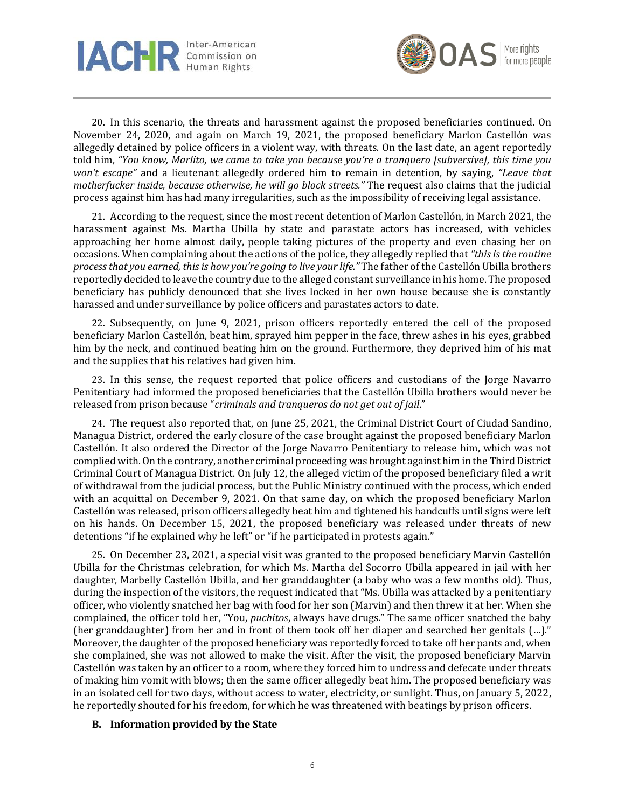



20. In this scenario, the threats and harassment against the proposed beneficiaries continued. On November 24, 2020, and again on March 19, 2021, the proposed beneficiary Marlon Castellón was allegedly detained by police officers in a violent way, with threats. On the last date, an agent reportedly told him, "You know, Marlito, we came to take you because you're a tranguero [subversive], this time you *won't escape"* and a lieutenant allegedly ordered him to remain in detention, by saying, *"Leave that motherfucker inside, because otherwise, he will go block streets."* The request also claims that the judicial process against him has had many irregularities, such as the impossibility of receiving legal assistance.

21. According to the request, since the most recent detention of Marlon Castellón, in March 2021, the harassment against Ms. Martha Ubilla by state and parastate actors has increased, with vehicles approaching her home almost daily, people taking pictures of the property and even chasing her on occasions. When complaining about the actions of the police, they allegedly replied that *"this is the routine processthat you earned, thisis how you're going to live your life."* The father of the Castellón Ubilla brothers reportedly decided to leave the country due to the alleged constant surveillance in his home. The proposed beneficiary has publicly denounced that she lives locked in her own house because she is constantly harassed and under surveillance by police officers and parastates actors to date.

22. Subsequently, on June 9, 2021, prison officers reportedly entered the cell of the proposed beneficiary Marlon Castellón, beat him, sprayed him pepper in the face, threw ashes in his eyes, grabbed him by the neck, and continued beating him on the ground. Furthermore, they deprived him of his mat and the supplies that his relatives had given him.

23. In this sense, the request reported that police officers and custodians of the Jorge Navarro Penitentiary had informed the proposed beneficiaries that the Castellón Ubilla brothers would never be released from prison because "*criminals and tranqueros do not get out of jail*."

24. The request also reported that, on June 25, 2021, the Criminal District Court of Ciudad Sandino, Managua District, ordered the early closure of the case brought against the proposed beneficiary Marlon Castellón. It also ordered the Director of the Jorge Navarro Penitentiary to release him, which was not complied with.On the contrary, another criminal proceeding was brought against him in the Third District Criminal Court of Managua District. On July 12, the alleged victim of the proposed beneficiary filed a writ of withdrawal from the judicial process, but the Public Ministry continued with the process, which ended with an acquittal on December 9, 2021. On that same day, on which the proposed beneficiary Marlon Castellón was released, prison officers allegedly beat him and tightened his handcuffs until signs were left on his hands. On December 15, 2021, the proposed beneficiary was released under threats of new detentions "if he explained why he left" or "if he participated in protests again."

25. On December 23, 2021, a special visit was granted to the proposed beneficiary Marvin Castellón Ubilla for the Christmas celebration, for which Ms. Martha del Socorro Ubilla appeared in jail with her daughter, Marbelly Castellón Ubilla, and her granddaughter (a baby who was a few months old). Thus, during the inspection of the visitors, the request indicated that "Ms. Ubilla was attacked by a penitentiary officer, who violently snatched her bag with food for her son (Marvin) and then threw it at her. When she complained, the officer told her, "You, *puchitos*, always have drugs." The same officer snatched the baby (her granddaughter) from her and in front of them took off her diaper and searched her genitals (…)." Moreover, the daughter of the proposed beneficiary was reportedly forced to take off her pants and, when she complained, she was not allowed to make the visit. After the visit, the proposed beneficiary Marvin Castellón was taken by an officer to a room, where they forced him to undress and defecate under threats of making him vomit with blows; then the same officer allegedly beat him. The proposed beneficiary was in an isolated cell for two days, without access to water, electricity, or sunlight. Thus, on January 5, 2022, he reportedly shouted for his freedom, for which he was threatened with beatings by prison officers.

### **B. Information provided by the State**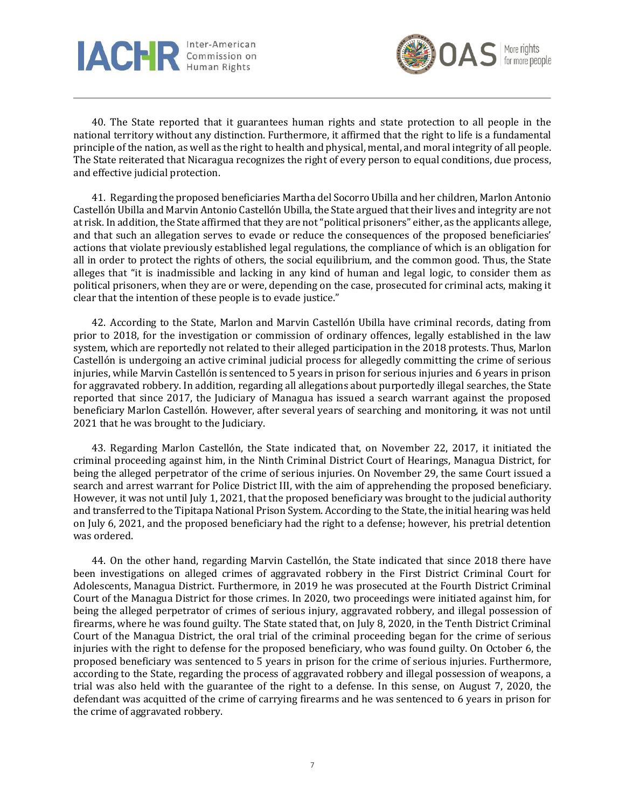



40. The State reported that it guarantees human rights and state protection to all people in the national territory without any distinction. Furthermore, it affirmed that the right to life is a fundamental principle of the nation, as well as the right to health and physical, mental, and moral integrity of all people. The State reiterated that Nicaragua recognizes the right of every person to equal conditions, due process, and effective judicial protection.

41. Regarding the proposed beneficiaries Martha del Socorro Ubilla and her children, Marlon Antonio Castellón Ubilla and Marvin Antonio Castellón Ubilla, the State argued that their lives and integrity are not at risk. In addition, the State affirmed that they are not"political prisoners" either, as the applicants allege, and that such an allegation serves to evade or reduce the consequences of the proposed beneficiaries' actions that violate previously established legal regulations, the compliance of which is an obligation for all in order to protect the rights of others, the social equilibrium, and the common good. Thus, the State alleges that "it is inadmissible and lacking in any kind of human and legal logic, to consider them as political prisoners, when they are or were, depending on the case, prosecuted for criminal acts, making it clear that the intention of these people is to evade justice."

42. According to the State, Marlon and Marvin Castellón Ubilla have criminal records, dating from prior to 2018, for the investigation or commission of ordinary offences, legally established in the law system, which are reportedly not related to their alleged participation in the 2018 protests. Thus, Marlon Castellón is undergoing an active criminal judicial process for allegedly committing the crime of serious injuries, while Marvin Castellón is sentenced to 5 years in prison for serious injuries and 6 years in prison for aggravated robbery. In addition, regarding all allegations about purportedly illegal searches, the State reported that since 2017, the Judiciary of Managua has issued a search warrant against the proposed beneficiary Marlon Castellón. However, after several years of searching and monitoring, it was not until 2021 that he was brought to the Judiciary.

43. Regarding Marlon Castellón, the State indicated that, on November 22, 2017, it initiated the criminal proceeding against him, in the Ninth Criminal District Court of Hearings, Managua District, for being the alleged perpetrator of the crime of serious injuries. On November 29, the same Court issued a search and arrest warrant for Police District III, with the aim of apprehending the proposed beneficiary. However, it was not until July 1, 2021, that the proposed beneficiary was brought to the judicial authority and transferred to the Tipitapa National Prison System. According to the State, the initial hearing was held on July 6, 2021, and the proposed beneficiary had the right to a defense; however, his pretrial detention was ordered.

44. On the other hand, regarding Marvin Castellón, the State indicated that since 2018 there have been investigations on alleged crimes of aggravated robbery in the First District Criminal Court for Adolescents, Managua District. Furthermore, in 2019 he was prosecuted at the Fourth District Criminal Court of the Managua District for those crimes. In 2020, two proceedings were initiated against him, for being the alleged perpetrator of crimes of serious injury, aggravated robbery, and illegal possession of firearms, where he was found guilty. The State stated that, on July 8, 2020, in the Tenth District Criminal Court of the Managua District, the oral trial of the criminal proceeding began for the crime of serious injuries with the right to defense for the proposed beneficiary, who was found guilty. On October 6, the proposed beneficiary was sentenced to 5 years in prison for the crime of serious injuries. Furthermore, according to the State, regarding the process of aggravated robbery and illegal possession of weapons, a trial was also held with the guarantee of the right to a defense. In this sense, on August 7, 2020, the defendant was acquitted of the crime of carrying firearms and he was sentenced to 6 years in prison for the crime of aggravated robbery.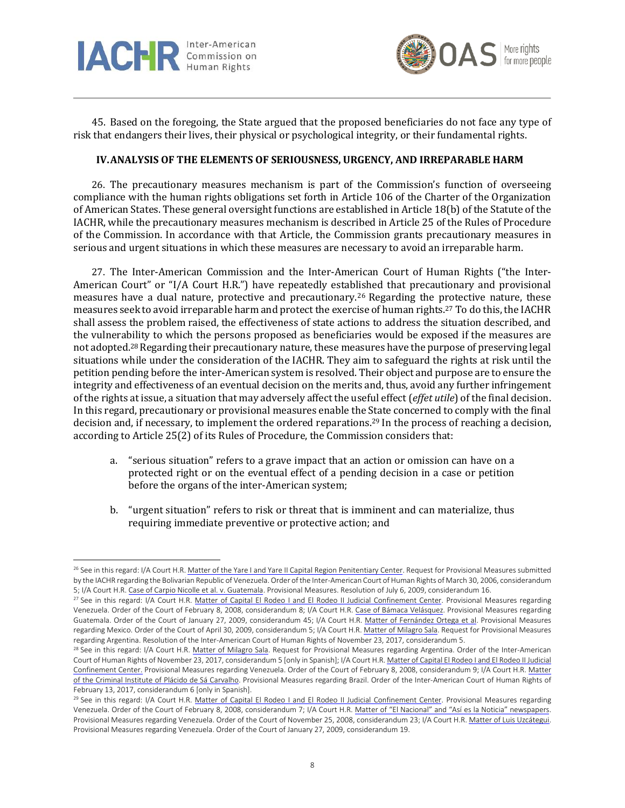



45. Based on the foregoing, the State argued that the proposed beneficiaries do not face any type of risk that endangers their lives, their physical or psychological integrity, or their fundamental rights.

## **IV.ANALYSIS OF THE ELEMENTS OF SERIOUSNESS, URGENCY, AND IRREPARABLE HARM**

26. The precautionary measures mechanism is part of the Commission's function of overseeing compliance with the human rights obligations set forth in Article 106 of the Charter of the Organization of American States. These general oversight functions are established in Article 18(b) of the Statute of the IACHR, while the precautionary measures mechanism is described in Article 25 of the Rules of Procedure of the Commission. In accordance with that Article, the Commission grants precautionary measures in serious and urgent situations in which these measures are necessary to avoid an irreparable harm.

27. The Inter-American Commission and the Inter-American Court of Human Rights ("the Inter-American Court" or "I/A Court H.R.") have repeatedly established that precautionary and provisional measures have a dual nature, protective and precautionary.<sup>26</sup> Regarding the protective nature, these measures seek to avoid irreparable harm and protect the exercise of human rights.<sup>27</sup> To do this, the IACHR shall assess the problem raised, the effectiveness of state actions to address the situation described, and the vulnerability to which the persons proposed as beneficiaries would be exposed if the measures are not adopted.28Regarding their precautionary nature, these measures have the purpose of preserving legal situations while under the consideration of the IACHR. They aim to safeguard the rights at risk until the petition pending before the inter-American system is resolved. Their object and purpose are to ensure the integrity and effectiveness of an eventual decision on the merits and, thus, avoid any further infringement of the rights at issue, a situation that may adversely affect the useful effect(*effet utile*) of the final decision. In this regard, precautionary or provisional measures enable the State concerned to comply with the final decision and, if necessary, to implement the ordered reparations.<sup>29</sup> In the process of reaching a decision, according to Article 25(2) of its Rules of Procedure, the Commission considers that:

- a. "serious situation" refers to a grave impact that an action or omission can have on a protected right or on the eventual effect of a pending decision in a case or petition before the organs of the inter-American system;
- b. "urgent situation" refers to risk or threat that is imminent and can materialize, thus requiring immediate preventive or protective action; and

<sup>&</sup>lt;sup>26</sup> See in this regard: I/A Court H.R. Matter of the Yare I and Yare II Capital Region [Penitentiary](https://www.corteidh.or.cr/docs/medidas/penitenciarioregion_se_01.pdf) Center. Request for Provisional Measures submitted by the IACHR regarding the Bolivarian Republic of Venezuela. Order of the Inter-American Court of Human Rights of March 30, 2006, considerandum 5; I/A Court H.R. Case of Carpio Nicolle et al. v. [Guatemala.](https://www.corteidh.or.cr/docs/medidas/carpio_se_14.pdf) Provisional Measures. Resolution of July 6, 2009, considerandum 16.

<sup>&</sup>lt;sup>27</sup> See in this regard: I/A Court H.R. Matter of Capital El Rodeo I and El Rodeo II Judicial [Confinement](https://www.corteidh.or.cr/docs/medidas/rodeo_se_01.pdf) Center. Provisional Measures regarding Venezuela. Order of the Court of February 8, 2008, considerandum 8; I/A Court H.R. Case of Bámaca [Velásquez.](https://www.corteidh.or.cr/docs/medidas/bamaca_se_11.pdf) Provisional Measures regarding Guatemala. Order of the Court of January 27, 2009, considerandum 45; I/A Court H.R. Matter of [Fernández](https://www.corteidh.or.cr/docs/medidas/fernandez_se_02.pdf) Ortega et al. Provisional Measures regarding Mexico. Order of the Court of April 30, 2009, considerandum 5; I/A Court H.R. Matter of [Milagro](https://www.corteidh.or.cr/docs/medidas/sala_se_01.pdf) Sala. Request for Provisional Measures regarding Argentina. Resolution of the Inter-American Court of Human Rights of November 23, 2017, considerandum 5.

<sup>&</sup>lt;sup>28</sup> See in this regard: I/A Court H.R. Matter of [Milagro](https://www.corteidh.or.cr/docs/medidas/sala_se_01.pdf) Sala. Request for Provisional Measures regarding Argentina. Order of the Inter-American Court of Human Rights of November 23, 2017, considerandum 5 [only in Spanish]; I/A Court H.R. Matter of Capital El Rodeo I and El Rodeo II [Judicial](https://www.corteidh.or.cr/docs/medidas/rodeo_se_01.pdf) [Confinement](https://www.corteidh.or.cr/docs/medidas/rodeo_se_01.pdf) Center. Provisional Measures regarding Venezuela. Order of the Court of February 8, 2008, considerandum 9; I/A Court H.R. [Matter](https://www.corteidh.or.cr/docs/medidas/placido_se_01.pdf) of the Criminal Institute of Plácido de Sá [Carvalho.](https://www.corteidh.or.cr/docs/medidas/placido_se_01.pdf) Provisional Measures regarding Brazil. Order of the Inter-American Court of Human Rights of February 13, 2017, considerandum 6 [only in Spanish].

<sup>&</sup>lt;sup>29</sup> See in this regard: I/A Court H.R. Matter of Capital El Rodeo I and El Rodeo II Judicial [Confinement](https://www.corteidh.or.cr/docs/medidas/rodeo_se_01.pdf) Center. Provisional Measures regarding Venezuela. Order of the Court of February 8, 2008, considerandum 7; I/A Court H.R. Matter of "El Nacional" and "Así es la Noticia" [newspapers.](https://www.corteidh.or.cr/docs/medidas/elnacional_se_02.pdf) Provisional Measures regarding Venezuela. Order of the Court of November 25, 2008, considerandum 23; I/A Court H.R. Matter of Luis [Uzcátegui.](https://www.corteidh.or.cr/docs/medidas/uzcategui_se_04.pdf) Provisional Measures regarding Venezuela. Order of the Court of January 27, 2009, considerandum 19.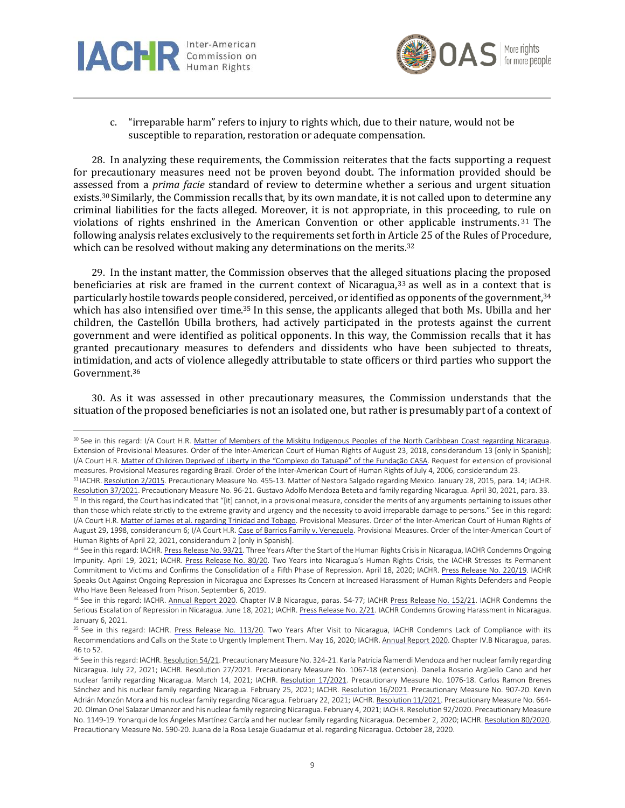



c. "irreparable harm" refers to injury to rights which, due to their nature, would not be susceptible to reparation, restoration or adequate compensation.

28. In analyzing these requirements, the Commission reiterates that the facts supporting a request for precautionary measures need not be proven beyond doubt. The information provided should be assessed from a *prima facie* standard of review to determine whether a serious and urgent situation exists.<sup>30</sup> Similarly, the Commission recalls that, by its own mandate, it is not called upon to determine any criminal liabilities for the facts alleged. Moreover, it is not appropriate, in this proceeding, to rule on violations of rights enshrined in the American Convention or other applicable instruments. <sup>31</sup> The following analysis relates exclusively to the requirements set forth in Article 25 of the Rules of Procedure, which can be resolved without making any determinations on the merits.<sup>32</sup>

29. In the instant matter, the Commission observes that the alleged situations placing the proposed beneficiaries at risk are framed in the current context of Nicaragua,<sup>33</sup> as well as in a context that is particularly hostile towards people considered, perceived, or identified as opponents of the government, 34 which has also intensified over time.<sup>35</sup> In this sense, the applicants alleged that both Ms. Ubilla and her children, the Castellón Ubilla brothers, had actively participated in the protests against the current government and were identified as political opponents. In this way, the Commission recalls that it has granted precautionary measures to defenders and dissidents who have been subjected to threats, intimidation, and acts of violence allegedly attributable to state officers or third parties who support the Government. 36

30. As it was assessed in other precautionary measures, the Commission understands that the situation of the proposed beneficiaries is not an isolated one, but rather is presumably part of a context of

<sup>30</sup> See in this regard: I/A Court H.R. Matter of Members of the Miskitu [Indigenous](https://www.corteidh.or.cr/docs/medidas/miskitu_se_05.pdf) Peoples of the North Caribbean Coast regarding Nicaragua. Extension of Provisional Measures. Order of the Inter-American Court of Human Rights of August 23, 2018, considerandum 13 [only in Spanish]; I/A Court H.R. Matter of Children Deprived of Liberty in the ["Complexo](http://www.corteidh.or.cr/docs/medidas/febem_se_03.pdf) do Tatuapé" of the Fundação CASA. Request for extension of provisional measures. Provisional Measures regarding Brazil. Order of the Inter-American Court of Human Rights of July 4, 2006, considerandum 23.

<sup>&</sup>lt;sup>31</sup> IACHR. [Resolution](http://www.oas.org/es/cidh/decisiones/pdf/2015/mc455-13-es.pdf) 2/2015. Precautionary Measure No. 455-13. Matter of Nestora Salgado regarding Mexico. January 28, 2015, para. 14; IACHR. [Resolution](http://www.oas.org/es/cidh/decisiones/mc/2021/res_37-21_mc_96-21_ni_es.pdf) 37/2021. Precautionary Measure No. 96-21. Gustavo Adolfo Mendoza Beteta and family regarding Nicaragua. April 30, 2021, para. 33. 32 In this regard, the Court has indicated that "[it] cannot, in a provisional measure, consider the merits of any arguments pertaining to issues other than those which relate strictly to the extreme gravity and urgency and the necessity to avoid irreparable damage to persons." See in this regard: I/A Court H.R. Matter of James et al. [regarding](https://www.corteidh.or.cr/docs/medidas/james_se_06.pdf) Trinidad and Tobago. Provisional Measures. Order of the Inter-American Court of Human Rights of August 29, 1998, considerandum 6; I/A Court H.R. Case of Barrios Family v. [Venezuela.](https://www.corteidh.or.cr/docs/medidas/barrios_se_03.pdf) Provisional Measures. Order of the Inter-American Court of Human Rights of April 22, 2021, considerandum 2 [only in Spanish].

<sup>33</sup> See in this regard: IACHR. Press [Release](http://www.oas.org/es/CIDH/jsForm/?File=/es/cidh/prensa/comunicados/2021/093.asp) No. 93/21. Three Years After the Start of the Human Rights Crisis in Nicaragua, IACHR Condemns Ongoing Impunity. April 19, 2021; IACHR. Press [Release](http://www.oas.org/es/cidh/prensa/comunicados/2020/080.asp) No. 80/20. Two Years into Nicaragua's Human Rights Crisis, the IACHR Stresses its Permanent Commitment to Victims and Confirms the Consolidation of a Fifth Phase of Repression. April 18, 2020; IACHR. Press Release No. [220/19.](http://www.oas.org/es/cidh/prensa/comunicados/2019/220.asp) IACHR Speaks Out Against Ongoing Repression in Nicaragua and Expresses Its Concern at Increased Harassment of Human Rights Defenders and People Who Have Been Released from Prison. September 6, 2019.

<sup>34</sup> See in this regard: IACHR. [Annual](https://www.oas.org/es/cidh/docs/anual/2020/capitulos/IA2020cap.4b.NI-es.pdf) Report 2020. Chapter IV.B Nicaragua, paras. 54-77; IACHR Press Release No. [152/21.](http://www.oas.org/es/CIDH/jsForm/?File=/es/cidh/prensa/comunicados/2021/152.asp) IACHR Condemns the Serious Escalation of Repression in Nicaragua. June 18, 2021; IACHR. Press [Release](http://www.oas.org/es/CIDH/jsForm/?File=/es/cidh/prensa/comunicados/2021/002.asp) No. 2/21. IACHR Condemns Growing Harassment in Nicaragua. January 6, 2021.

<sup>&</sup>lt;sup>35</sup> See in this regard: IACHR. Press Release No. [113/20.](http://www.oas.org/es/cidh/prensa/comunicados/2020/113.asp) Two Years After Visit to Nicaragua, IACHR Condemns Lack of Compliance with its Recommendations and Calls on the State to Urgently Implement Them. May 16, 2020; IACHR. [Annual](https://www.oas.org/es/cidh/docs/anual/2020/capitulos/IA2020cap.4b.NI-es.pdf) Report 2020. Chapter IV.B Nicaragua, paras. 46 to 52.

<sup>&</sup>lt;sup>36</sup> See in this regard: IACHR. [Resolution](https://www.oas.org/es/cidh/decisiones/mc/2021/res_54-21_mc_324-21_ni_es.pdf) 54/21. Precautionary Measure No. 324-21. Karla Patricia Ñamendi Mendoza and her nuclear family regarding Nicaragua. July 22, 2021; IACHR. Resolution 27/2021. Precautionary Measure No. 1067-18 (extension). Danelia Rosario Argüello Cano and her nuclear family regarding Nicaragua. March 14, 2021; IACHR. [Resolution](http://www.oas.org/es/cidh/decisiones/mc/2021/res_17-2021_mc-1076-18_ni-es.pdf) 17/2021. Precautionary Measure No. 1076-18. Carlos Ramon Brenes Sánchez and his nuclear family regarding Nicaragua. February 25, 2021; IACHR. [Resolution](http://www.oas.org/es/cidh/decisiones/mc/2021/res_16-2021_mc-907-20_ni.pdf) 16/2021. Precautionary Measure No. 907-20. Kevin Adrián Monzón Mora and his nuclear family regarding Nicaragua. February 22, 2021; IACHR. [Resolution](http://www.oas.org/es/cidh/decisiones/pdf/2021/res_11-2021_mc_664-20-ni_es.pdf) 11/2021. Precautionary Measure No. 664-20. Olman Onel Salazar Umanzor and his nuclear family regarding Nicaragua. February 4, 2021; IACHR. Resolution 92/2020. Precautionary Measure No. 1149-19. Yonarqui de los Ángeles Martínez García and her nuclear family regarding Nicaragua. December 2, 2020; IACHR. [Resolution](http://www.oas.org/es/cidh/decisiones/pdf/2020/80-20mc590-20-ni.pdf) 80/2020. Precautionary Measure No. 590-20. Juana de la Rosa Lesaje Guadamuz et al. regarding Nicaragua. October 28, 2020.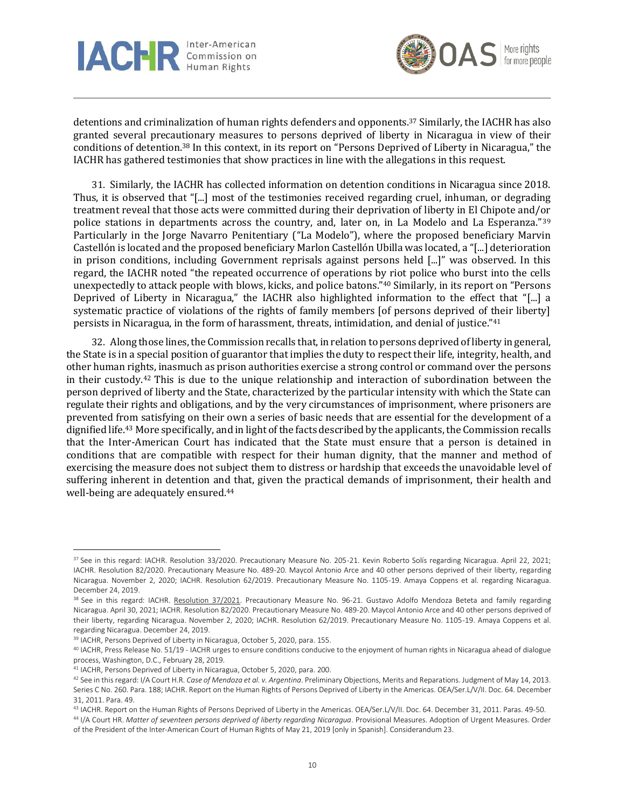



detentions and criminalization of human rights defenders and opponents. <sup>37</sup> Similarly, the IACHR has also granted several precautionary measures to persons deprived of liberty in Nicaragua in view of their conditions of detention. <sup>38</sup> In this context, in its report on "Persons Deprived of Liberty in Nicaragua," the IACHR has gathered testimonies that show practices in line with the allegations in this request.

31. Similarly, the IACHR has collected information on detention conditions in Nicaragua since 2018. Thus, it is observed that "[...] most of the testimonies received regarding cruel, inhuman, or degrading treatment reveal that those acts were committed during their deprivation of liberty in El Chipote and/or police stations in departments across the country, and, later on, in La Modelo and La Esperanza."<sup>39</sup> Particularly in the Jorge Navarro Penitentiary ("La Modelo"), where the proposed beneficiary Marvin Castellón is located and the proposed beneficiary Marlon Castellón Ubilla was located, a "[...] deterioration in prison conditions, including Government reprisals against persons held [...]" was observed. In this regard, the IACHR noted "the repeated occurrence of operations by riot police who burst into the cells unexpectedly to attack people with blows, kicks, and police batons." <sup>40</sup> Similarly, in its report on "Persons Deprived of Liberty in Nicaragua," the IACHR also highlighted information to the effect that "[...] a systematic practice of violations of the rights of family members [of persons deprived of their liberty] persists in Nicaragua, in the form of harassment, threats, intimidation, and denial of justice." 41

32. Along those lines, the Commission recalls that, in relation to persons deprived of liberty in general, the State is in a special position of guarantor that implies the duty to respect their life, integrity, health, and other human rights, inasmuch as prison authorities exercise a strong control or command over the persons in their custody. <sup>42</sup> This is due to the unique relationship and interaction of subordination between the person deprived of liberty and the State, characterized by the particular intensity with which the State can regulate their rights and obligations, and by the very circumstances of imprisonment, where prisoners are prevented from satisfying on their own a series of basic needs that are essential for the development of a dignified life.<sup>43</sup> More specifically, and in light of the facts described by the applicants, the Commission recalls that the Inter-American Court has indicated that the State must ensure that a person is detained in conditions that are compatible with respect for their human dignity, that the manner and method of exercising the measure does not subject them to distress or hardship that exceeds the unavoidable level of suffering inherent in detention and that, given the practical demands of imprisonment, their health and well-being are adequately ensured. 44

<sup>&</sup>lt;sup>37</sup> See in this regard: IACHR. Resolution 33/2020. Precautionary Measure No. 205-21. Kevin Roberto Solís regarding Nicaragua. April 22, 2021; IACHR. Resolution 82/2020. Precautionary Measure No. 489-20. Maycol Antonio Arce and 40 other persons deprived of their liberty, regarding Nicaragua. November 2, 2020; IACHR. Resolution 62/2019. Precautionary Measure No. 1105-19. Amaya Coppens et al. regarding Nicaragua. December 24, 2019.

<sup>38</sup> See in this regard: IACHR. [Resolution 37/2021.](https://www.oas.org/es/cidh/decisiones/mc/2021/res_37-21_mc_96-21_ni_es.pdf) Precautionary Measure No. 96-21. Gustavo Adolfo Mendoza Beteta and family regarding Nicaragua. April 30, 2021; IACHR. Resolution 82/2020. Precautionary Measure No. 489-20. Maycol Antonio Arce and 40 other persons deprived of their liberty, regarding Nicaragua. November 2, 2020; IACHR. Resolution 62/2019. Precautionary Measure No. 1105-19. Amaya Coppens et al. regarding Nicaragua. December 24, 2019.

<sup>&</sup>lt;sup>39</sup> IACHR, Persons Deprived of Liberty in Nicaragua, October 5, 2020, para. 155.

<sup>40</sup> IACHR, Press Release No. 51/19 - IACHR urges to ensure conditions conducive to the enjoyment of human rights in Nicaragua ahead of dialogue process, Washington, D.C., February 28, 2019.

<sup>41</sup> IACHR, Persons Deprived of Liberty in Nicaragua, October 5, 2020, para. 200.

<sup>42</sup> See in this regard: I/A Court H.R. *Case of Mendoza et al. v. Argentina*. Preliminary Objections, Merits and Reparations. Judgment of May 14, 2013. Series C No. 260. Para. 188; IACHR. Report on the Human Rights of Persons Deprived of Liberty in the Americas. OEA/Ser.L/V/II. Doc. 64. December 31, 2011. Para. 49.

<sup>43</sup> IACHR. Report on the Human Rights of Persons Deprived of Liberty in the Americas. OEA/Ser.L/V/II. Doc. 64. December 31, 2011. Paras. 49-50.

<sup>44</sup> I/A Court HR. *Matter of seventeen persons deprived of liberty regarding Nicaragua*. Provisional Measures. Adoption of Urgent Measures. Order of the President of the Inter-American Court of Human Rights of May 21, 2019 [only in Spanish]. Considerandum 23.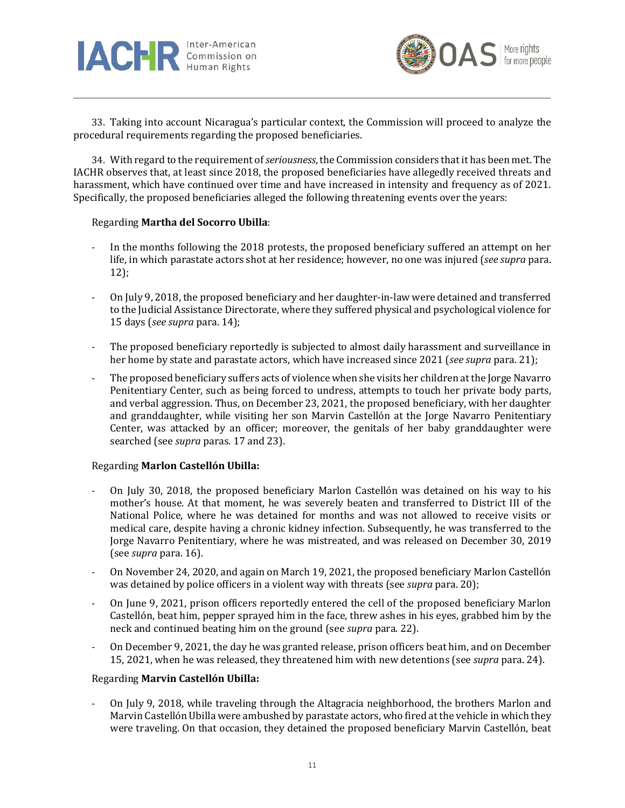



33. Taking into account Nicaragua's particular context, the Commission will proceed to analyze the procedural requirements regarding the proposed beneficiaries.

34. With regard to the requirement of*seriousness*, the Commission considers that it has been met. The IACHR observes that, at least since 2018, the proposed beneficiaries have allegedly received threats and harassment, which have continued over time and have increased in intensity and frequency as of 2021. Specifically, the proposed beneficiaries alleged the following threatening events over the years:

## Regarding **Martha del Socorro Ubilla**:

- In the months following the 2018 protests, the proposed beneficiary suffered an attempt on her life, in which parastate actors shot at her residence; however, no one was injured (*see supra* para. 12);
- On July 9, 2018, the proposed beneficiary and her daughter-in-law were detained and transferred to the Judicial Assistance Directorate, where they suffered physical and psychological violence for 15 days (*see supra* para. 14);
- The proposed beneficiary reportedly is subjected to almost daily harassment and surveillance in her home by state and parastate actors, which have increased since 2021 (*see supra* para. 21);
- The proposed beneficiary suffers acts of violence when she visits her children at the Jorge Navarro Penitentiary Center, such as being forced to undress, attempts to touch her private body parts, and verbal aggression. Thus, on December 23, 2021, the proposed beneficiary, with her daughter and granddaughter, while visiting her son Marvin Castellón at the Jorge Navarro Penitentiary Center, was attacked by an officer; moreover, the genitals of her baby granddaughter were searched (see *supra* paras. 17 and 23).

## Regarding **Marlon Castellón Ubilla:**

- On July 30, 2018, the proposed beneficiary Marlon Castellón was detained on his way to his mother's house. At that moment, he was severely beaten and transferred to District III of the National Police, where he was detained for months and was not allowed to receive visits or medical care, despite having a chronic kidney infection. Subsequently, he was transferred to the Jorge Navarro Penitentiary, where he was mistreated, and was released on December 30, 2019 (see *supra* para. 16).
- On November 24, 2020, and again on March 19, 2021, the proposed beneficiary Marlon Castellón was detained by police officers in a violent way with threats (see *supra* para. 20);
- On June 9, 2021, prison officers reportedly entered the cell of the proposed beneficiary Marlon Castellón, beat him, pepper sprayed him in the face, threw ashes in his eyes, grabbed him by the neck and continued beating him on the ground (see *supra* para. 22).
- On December 9, 2021, the day he was granted release, prison officers beat him, and on December 15, 2021, when he was released, they threatened him with new detentions (see *supra* para. 24).

### Regarding **Marvin Castellón Ubilla:**

- On July 9, 2018, while traveling through the Altagracia neighborhood, the brothers Marlon and Marvin Castellón Ubilla were ambushed by parastate actors, who fired at the vehicle in which they were traveling. On that occasion, they detained the proposed beneficiary Marvin Castellón, beat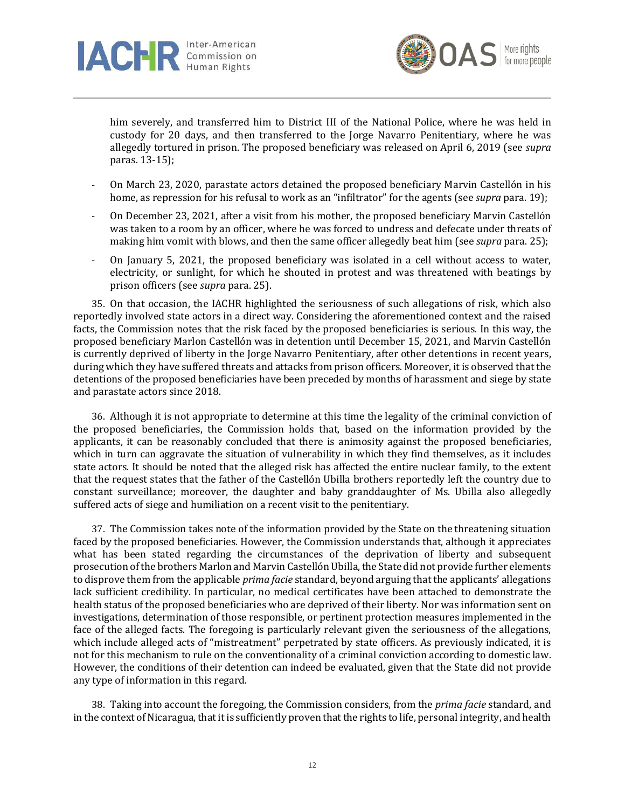



him severely, and transferred him to District III of the National Police, where he was held in custody for 20 days, and then transferred to the Jorge Navarro Penitentiary, where he was allegedly tortured in prison. The proposed beneficiary was released on April 6, 2019 (see *supra* paras. 13-15);

- On March 23, 2020, parastate actors detained the proposed beneficiary Marvin Castellón in his home, as repression for his refusal to work as an "infiltrator" for the agents (see *supra* para. 19);
- On December 23, 2021, after a visit from his mother, the proposed beneficiary Marvin Castellón was taken to a room by an officer, where he was forced to undress and defecate under threats of making him vomit with blows, and then the same officer allegedly beat him (see *supra* para. 25);
- On January 5, 2021, the proposed beneficiary was isolated in a cell without access to water, electricity, or sunlight, for which he shouted in protest and was threatened with beatings by prison officers (see *supra* para. 25).

35. On that occasion, the IACHR highlighted the seriousness of such allegations of risk, which also reportedly involved state actors in a direct way. Considering the aforementioned context and the raised facts, the Commission notes that the risk faced by the proposed beneficiaries is serious. In this way, the proposed beneficiary Marlon Castellón was in detention until December 15, 2021, and Marvin Castellón is currently deprived of liberty in the Jorge Navarro Penitentiary, after other detentions in recent years, during which they have suffered threats and attacks from prison officers. Moreover, it is observed that the detentions of the proposed beneficiaries have been preceded by months of harassment and siege by state and parastate actors since 2018.

36. Although it is not appropriate to determine at this time the legality of the criminal conviction of the proposed beneficiaries, the Commission holds that, based on the information provided by the applicants, it can be reasonably concluded that there is animosity against the proposed beneficiaries, which in turn can aggravate the situation of vulnerability in which they find themselves, as it includes state actors. It should be noted that the alleged risk has affected the entire nuclear family, to the extent that the request states that the father of the Castellón Ubilla brothers reportedly left the country due to constant surveillance; moreover, the daughter and baby granddaughter of Ms. Ubilla also allegedly suffered acts of siege and humiliation on a recent visit to the penitentiary.

37. The Commission takes note of the information provided by the State on the threatening situation faced by the proposed beneficiaries. However, the Commission understands that, although it appreciates what has been stated regarding the circumstances of the deprivation of liberty and subsequent prosecution of the brothers Marlon and Marvin Castellón Ubilla, the State did not provide further elements to disprove them from the applicable *prima facie* standard, beyond arguing that the applicants' allegations lack sufficient credibility. In particular, no medical certificates have been attached to demonstrate the health status of the proposed beneficiaries who are deprived of their liberty. Nor was information sent on investigations, determination of those responsible, or pertinent protection measures implemented in the face of the alleged facts. The foregoing is particularly relevant given the seriousness of the allegations, which include alleged acts of "mistreatment" perpetrated by state officers. As previously indicated, it is not for this mechanism to rule on the conventionality of a criminal conviction according to domestic law. However, the conditions of their detention can indeed be evaluated, given that the State did not provide any type of information in this regard.

38. Taking into account the foregoing, the Commission considers, from the *prima facie* standard, and in the context of Nicaragua, that it is sufficiently proven that the rights to life, personal integrity, and health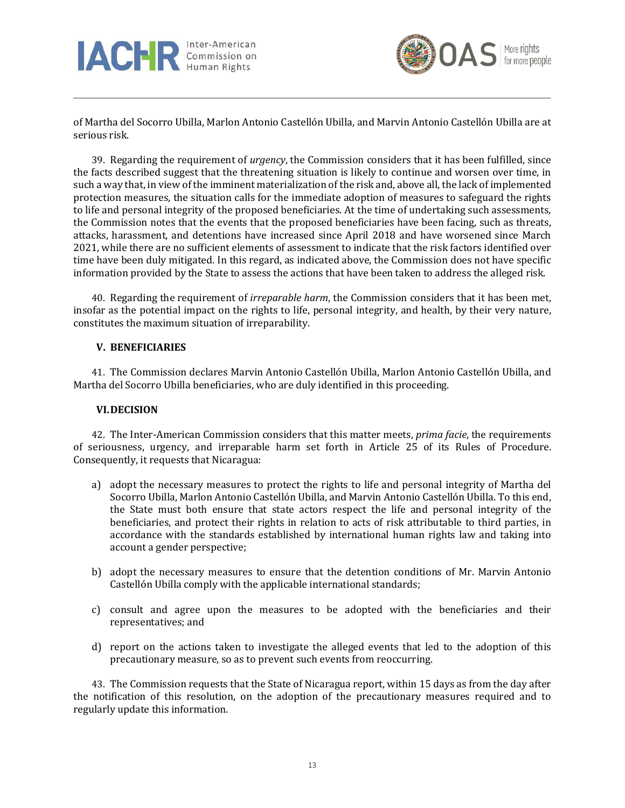



of Martha del Socorro Ubilla, Marlon Antonio Castellón Ubilla, and Marvin Antonio Castellón Ubilla are at serious risk.

39. Regarding the requirement of *urgency*, the Commission considers that it has been fulfilled, since the facts described suggest that the threatening situation is likely to continue and worsen over time, in such a way that, in view of the imminent materialization of the risk and, above all, the lack of implemented protection measures, the situation calls for the immediate adoption of measures to safeguard the rights to life and personal integrity of the proposed beneficiaries. At the time of undertaking such assessments, the Commission notes that the events that the proposed beneficiaries have been facing, such as threats, attacks, harassment, and detentions have increased since April 2018 and have worsened since March 2021, while there are no sufficient elements of assessment to indicate that the risk factors identified over time have been duly mitigated. In this regard, as indicated above, the Commission does not have specific information provided by the State to assess the actions that have been taken to address the alleged risk.

40. Regarding the requirement of *irreparable harm*, the Commission considers that it has been met, insofar as the potential impact on the rights to life, personal integrity, and health, by their very nature, constitutes the maximum situation of irreparability.

## **V. BENEFICIARIES**

41. The Commission declares Marvin Antonio Castellón Ubilla, Marlon Antonio Castellón Ubilla, and Martha del Socorro Ubilla beneficiaries, who are duly identified in this proceeding.

## **VI.DECISION**

42. The Inter-American Commission considers that this matter meets, *prima facie*, the requirements of seriousness, urgency, and irreparable harm set forth in Article 25 of its Rules of Procedure. Consequently, it requests that Nicaragua:

- a) adopt the necessary measures to protect the rights to life and personal integrity of Martha del Socorro Ubilla, Marlon Antonio Castellón Ubilla, and Marvin Antonio Castellón Ubilla. To this end, the State must both ensure that state actors respect the life and personal integrity of the beneficiaries, and protect their rights in relation to acts of risk attributable to third parties, in accordance with the standards established by international human rights law and taking into account a gender perspective;
- b) adopt the necessary measures to ensure that the detention conditions of Mr. Marvin Antonio Castellón Ubilla comply with the applicable international standards;
- c) consult and agree upon the measures to be adopted with the beneficiaries and their representatives; and
- d) report on the actions taken to investigate the alleged events that led to the adoption of this precautionary measure, so as to prevent such events from reoccurring.

43. The Commission requests that the State of Nicaragua report, within 15 days as from the day after the notification of this resolution, on the adoption of the precautionary measures required and to regularly update this information.